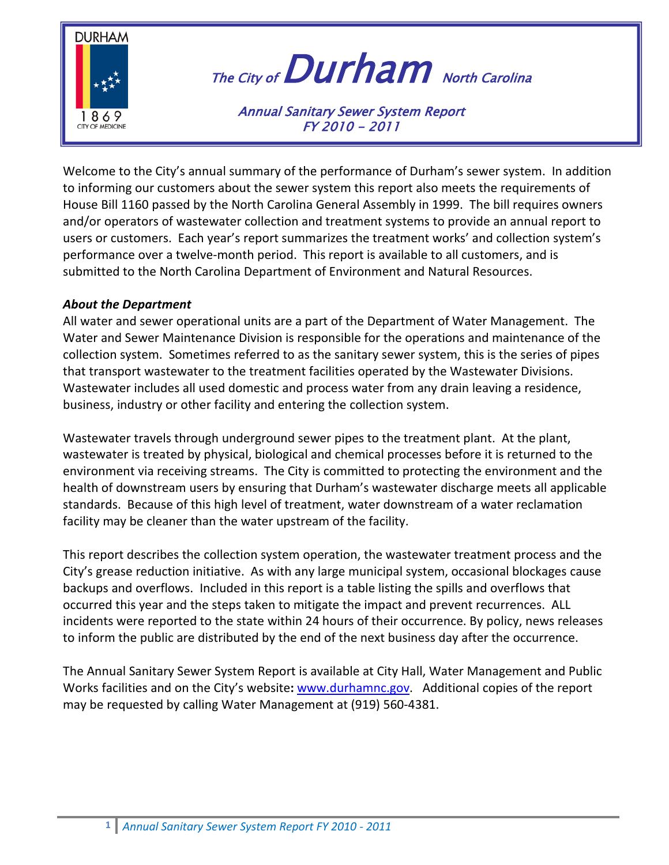

# The City of  $Durham$  North Carolina

Annual Sanitary Sewer System Report FY 2010 - 2011

Welcome to the City's annual summary of the performance of Durham's sewer system. In addition to informing our customers about the sewer system this report also meets the requirements of House Bill 1160 passed by the North Carolina General Assembly in 1999. The bill requires owners and/or operators of wastewater collection and treatment systems to provide an annual report to users or customers. Each year's report summarizes the treatment works' and collection system's performance over a twelve-month period. This report is available to all customers, and is submitted to the North Carolina Department of Environment and Natural Resources.

#### *About the Department*

All water and sewer operational units are a part of the Department of Water Management. The Water and Sewer Maintenance Division is responsible for the operations and maintenance of the collection system. Sometimes referred to as the sanitary sewer system, this is the series of pipes that transport wastewater to the treatment facilities operated by the Wastewater Divisions. Wastewater includes all used domestic and process water from any drain leaving a residence, business, industry or other facility and entering the collection system.

Wastewater travels through underground sewer pipes to the treatment plant. At the plant, wastewater is treated by physical, biological and chemical processes before it is returned to the environment via receiving streams. The City is committed to protecting the environment and the health of downstream users by ensuring that Durham's wastewater discharge meets all applicable standards. Because of this high level of treatment, water downstream of a water reclamation facility may be cleaner than the water upstream of the facility.

This report describes the collection system operation, the wastewater treatment process and the City's grease reduction initiative. As with any large municipal system, occasional blockages cause backups and overflows. Included in this report is a table listing the spills and overflows that occurred this year and the steps taken to mitigate the impact and prevent recurrences. ALL incidents were reported to the state within 24 hours of their occurrence. By policy, news releases to inform the public are distributed by the end of the next business day after the occurrence.

The Annual Sanitary Sewer System Report is available at City Hall, Water Management and Public Works facilities and on the City's website: [www.durhamnc.go](http://www.durhamnc.gov/)v. Additional copies of the report may be requested by calling Water Management at (919) 560-4381.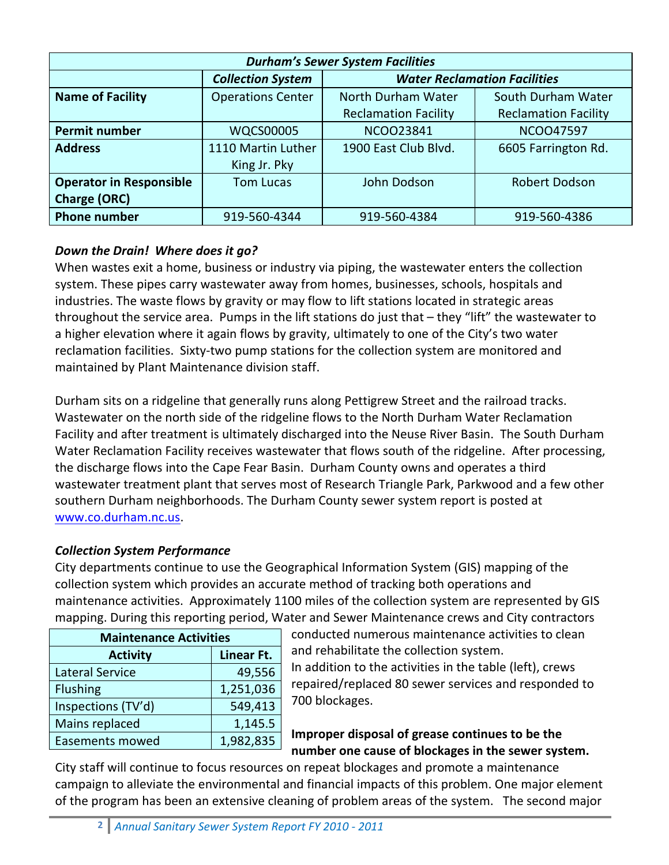| <b>Durham's Sewer System Facilities</b> |                          |                                     |                             |  |
|-----------------------------------------|--------------------------|-------------------------------------|-----------------------------|--|
|                                         | <b>Collection System</b> | <b>Water Reclamation Facilities</b> |                             |  |
| <b>Name of Facility</b>                 | <b>Operations Center</b> | North Durham Water                  | South Durham Water          |  |
|                                         |                          | <b>Reclamation Facility</b>         | <b>Reclamation Facility</b> |  |
| <b>Permit number</b>                    | <b>WQCS00005</b>         | NCO023841                           | <b>NCOO47597</b>            |  |
| <b>Address</b>                          | 1110 Martin Luther       | 1900 East Club Blvd.                | 6605 Farrington Rd.         |  |
|                                         | King Jr. Pky             |                                     |                             |  |
| <b>Operator in Responsible</b>          | <b>Tom Lucas</b>         | John Dodson                         | Robert Dodson               |  |
| <b>Charge (ORC)</b>                     |                          |                                     |                             |  |
| <b>Phone number</b>                     | 919-560-4344             | 919-560-4384                        | 919-560-4386                |  |

# *Down the Drain! Where does it go?*

When wastes exit a home, business or industry via piping, the wastewater enters the collection system. These pipes carry wastewater away from homes, businesses, schools, hospitals and industries. The waste flows by gravity or may flow to lift stations located in strategic areas throughout the service area. Pumps in the lift stations do just that – they "lift" the wastewater to a higher elevation where it again flows by gravity, ultimately to one of the City's two water reclamation facilities. Sixty-two pump stations for the collection system are monitored and maintained by Plant Maintenance division staff.

Durham sits on a ridgeline that generally runs along Pettigrew Street and the railroad tracks. Wastewater on the north side of the ridgeline flows to the North Durham Water Reclamation Facility and after treatment is ultimately discharged into the Neuse River Basin. The South Durham Water Reclamation Facility receives wastewater that flows south of the ridgeline. After processing, the discharge flows into the Cape Fear Basin. Durham County owns and operates a third wastewater treatment plant that serves most of Research Triangle Park, Parkwood and a few other southern Durham neighborhoods. The Durham County sewer system report is posted at [www.co.durham.nc.us.](http://www.co.durham.nc.us/)

# *Collection System Performance*

City departments continue to use the Geographical Information System (GIS) mapping of the collection system which provides an accurate method of tracking both operations and maintenance activities. Approximately 1100 miles of the collection system are represented by GIS mapping. During this reporting period, Water and Sewer Maintenance crews and City contractors

| <b>Maintenance Activities</b> |            |  |  |
|-------------------------------|------------|--|--|
| <b>Activity</b>               | Linear Ft. |  |  |
| <b>Lateral Service</b>        | 49,556     |  |  |
| <b>Flushing</b>               | 1,251,036  |  |  |
| Inspections (TV'd)            | 549,413    |  |  |
| Mains replaced                | 1,145.5    |  |  |
| <b>Easements mowed</b>        | 1,982,835  |  |  |

conducted numerous maintenance activities to clean and rehabilitate the collection system. In addition to the activities in the table (left), crews

repaired/replaced 80 sewer services and responded to 700 blockages.

# **Improper disposal of grease continues to be the number one cause of blockages in the sewer system.**

City staff will continue to focus resources on repeat blockages and promote a maintenance campaign to alleviate the environmental and financial impacts of this problem. One major element of the program has been an extensive cleaning of problem areas of the system. The second major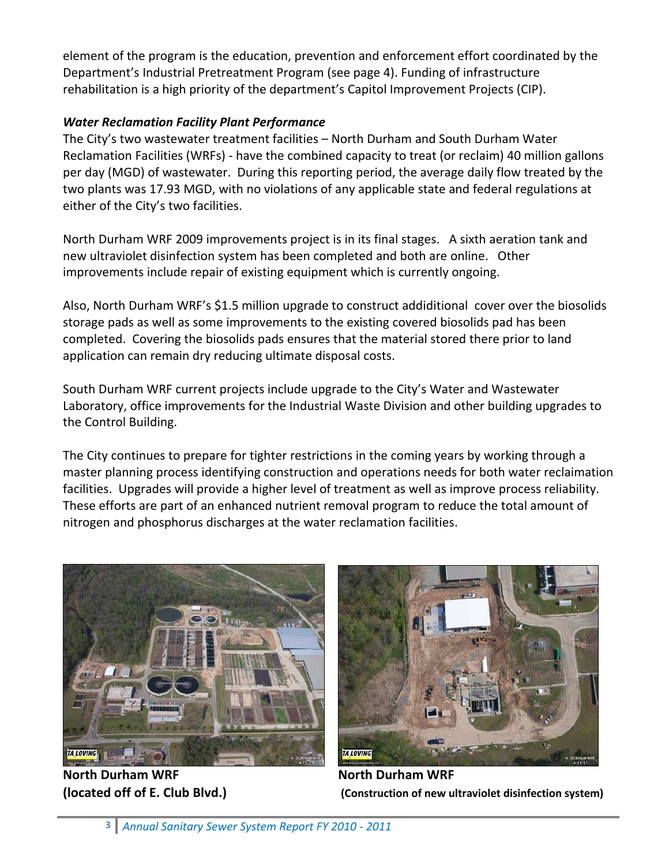element of the program is the education, prevention and enforcement effort coordinated by the Department's Industrial Pretreatment Program (see page 4). Funding of infrastructure rehabilitation is a high priority of the department's Capitol Improvement Projects (CIP).

#### *Water Reclamation Facility Plant Performance*

The City's two wastewater treatment facilities – North Durham and South Durham Water Reclamation Facilities (WRFs) - have the combined capacity to treat (or reclaim) 40 million gallons per day (MGD) of wastewater. During this reporting period, the average daily flow treated by the two plants was 17.93 MGD, with no violations of any applicable state and federal regulations at either of the City's two facilities.

North Durham WRF 2009 improvements project is in its final stages. A sixth aeration tank and new ultraviolet disinfection system has been completed and both are online. Other improvements include repair of existing equipment which is currently ongoing.

Also, North Durham WRF's \$1.5 million upgrade to construct addiditional cover over the biosolids storage pads as well as some improvements to the existing covered biosolids pad has been completed. Covering the biosolids pads ensures that the material stored there prior to land application can remain dry reducing ultimate disposal costs.

South Durham WRF current projects include upgrade to the City's Water and Wastewater Laboratory, office improvements for the Industrial Waste Division and other building upgrades to the Control Building.

The City continues to prepare for tighter restrictions in the coming years by working through a master planning process identifying construction and operations needs for both water reclaimation facilities. Upgrades will provide a higher level of treatment as well as improve process reliability. These efforts are part of an enhanced nutrient removal program to reduce the total amount of nitrogen and phosphorus discharges at the water reclamation facilities.



**North Durham WRF North Durham WRF**



**(located off of E. Club Blvd.) (Construction of new ultraviolet disinfection system)**